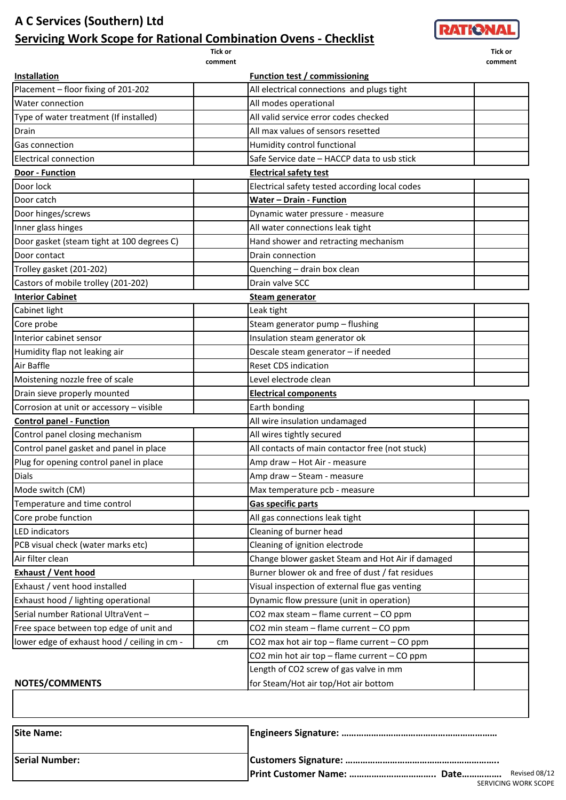## **A C Services (Southern) Ltd Servicing Work Scope for Rational Combination Ovens - Checklist**

**Tick or comment**



**Tick or comment**

| <u>Installation</u>                          |    | <b>Function test / commissioning</b>              |  |
|----------------------------------------------|----|---------------------------------------------------|--|
| Placement - floor fixing of 201-202          |    | All electrical connections and plugs tight        |  |
| Water connection                             |    | All modes operational                             |  |
| Type of water treatment (If installed)       |    | All valid service error codes checked             |  |
| Drain                                        |    | All max values of sensors resetted                |  |
| Gas connection                               |    | Humidity control functional                       |  |
| <b>Electrical connection</b>                 |    | Safe Service date - HACCP data to usb stick       |  |
| Door - Function                              |    | <b>Electrical safety test</b>                     |  |
| Door lock                                    |    | Electrical safety tested according local codes    |  |
| Door catch                                   |    | <b>Water - Drain - Function</b>                   |  |
| Door hinges/screws                           |    | Dynamic water pressure - measure                  |  |
| Inner glass hinges                           |    | All water connections leak tight                  |  |
| Door gasket (steam tight at 100 degrees C)   |    | Hand shower and retracting mechanism              |  |
| Door contact                                 |    | Drain connection                                  |  |
| Trolley gasket (201-202)                     |    | Quenching - drain box clean                       |  |
| Castors of mobile trolley (201-202)          |    | Drain valve SCC                                   |  |
| <b>Interior Cabinet</b>                      |    | <b>Steam generator</b>                            |  |
| Cabinet light                                |    | Leak tight                                        |  |
| Core probe                                   |    | Steam generator pump - flushing                   |  |
| Interior cabinet sensor                      |    | Insulation steam generator ok                     |  |
| Humidity flap not leaking air                |    | Descale steam generator - if needed               |  |
| Air Baffle                                   |    | <b>Reset CDS indication</b>                       |  |
| Moistening nozzle free of scale              |    | Level electrode clean                             |  |
| Drain sieve properly mounted                 |    | <b>Electrical components</b>                      |  |
| Corrosion at unit or accessory - visible     |    | Earth bonding                                     |  |
| <b>Control panel - Function</b>              |    | All wire insulation undamaged                     |  |
| Control panel closing mechanism              |    | All wires tightly secured                         |  |
| Control panel gasket and panel in place      |    | All contacts of main contactor free (not stuck)   |  |
| Plug for opening control panel in place      |    | Amp draw - Hot Air - measure                      |  |
| Dials                                        |    | Amp draw - Steam - measure                        |  |
| Mode switch (CM)                             |    | Max temperature pcb - measure                     |  |
| Temperature and time control                 |    | <b>Gas specific parts</b>                         |  |
| Core probe function                          |    | All gas connections leak tight                    |  |
| <b>LED</b> indicators                        |    | Cleaning of burner head                           |  |
| PCB visual check (water marks etc)           |    | Cleaning of ignition electrode                    |  |
| Air filter clean                             |    | Change blower gasket Steam and Hot Air if damaged |  |
| Exhaust / Vent hood                          |    | Burner blower ok and free of dust / fat residues  |  |
| Exhaust / vent hood installed                |    | Visual inspection of external flue gas venting    |  |
| Exhaust hood / lighting operational          |    | Dynamic flow pressure (unit in operation)         |  |
| Serial number Rational UltraVent -           |    | CO2 max steam - flame current - CO ppm            |  |
| Free space between top edge of unit and      |    | CO2 min steam - flame current - CO ppm            |  |
| lower edge of exhaust hood / ceiling in cm - | cm | CO2 max hot air top - flame current - CO ppm      |  |
|                                              |    | CO2 min hot air top - flame current - CO ppm      |  |
|                                              |    | Length of CO2 screw of gas valve in mm            |  |
| <b>NOTES/COMMENTS</b>                        |    | for Steam/Hot air top/Hot air bottom              |  |
|                                              |    |                                                   |  |
|                                              |    |                                                   |  |

| <b>Site Name:</b>     |                      |               |
|-----------------------|----------------------|---------------|
| <b>Serial Number:</b> |                      |               |
|                       |                      | Revised 08/12 |
|                       | SERVICING WORK SCOPE |               |